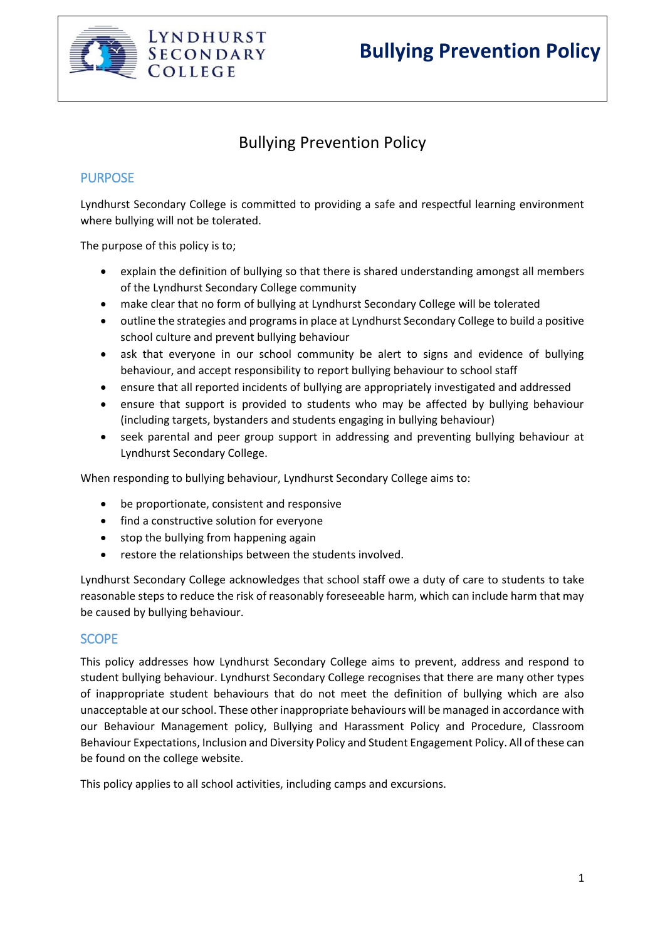

# **Bullying Prevention Policy**

# Bullying Prevention Policy

## **PURPOSE**

Lyndhurst Secondary College is committed to providing a safe and respectful learning environment where bullying will not be tolerated.

The purpose of this policy is to;

- explain the definition of bullying so that there is shared understanding amongst all members of the Lyndhurst Secondary College community
- make clear that no form of bullying at Lyndhurst Secondary College will be tolerated
- outline the strategies and programs in place at Lyndhurst Secondary College to build a positive school culture and prevent bullying behaviour
- ask that everyone in our school community be alert to signs and evidence of bullying behaviour, and accept responsibility to report bullying behaviour to school staff
- ensure that all reported incidents of bullying are appropriately investigated and addressed
- ensure that support is provided to students who may be affected by bullying behaviour (including targets, bystanders and students engaging in bullying behaviour)
- seek parental and peer group support in addressing and preventing bullying behaviour at Lyndhurst Secondary College.

When responding to bullying behaviour, Lyndhurst Secondary College aims to:

- be proportionate, consistent and responsive
- find a constructive solution for everyone
- stop the bullying from happening again
- restore the relationships between the students involved.

Lyndhurst Secondary College acknowledges that school staff owe a duty of care to students to take reasonable steps to reduce the risk of reasonably foreseeable harm, which can include harm that may be caused by bullying behaviour.

#### **SCOPE**

This policy addresses how Lyndhurst Secondary College aims to prevent, address and respond to student bullying behaviour. Lyndhurst Secondary College recognises that there are many other types of inappropriate student behaviours that do not meet the definition of bullying which are also unacceptable at our school. These other inappropriate behaviours will be managed in accordance with our Behaviour Management policy, Bullying and Harassment Policy and Procedure, Classroom Behaviour Expectations, Inclusion and Diversity Policy and Student Engagement Policy. All of these can be found on the college website.

This policy applies to all school activities, including camps and excursions.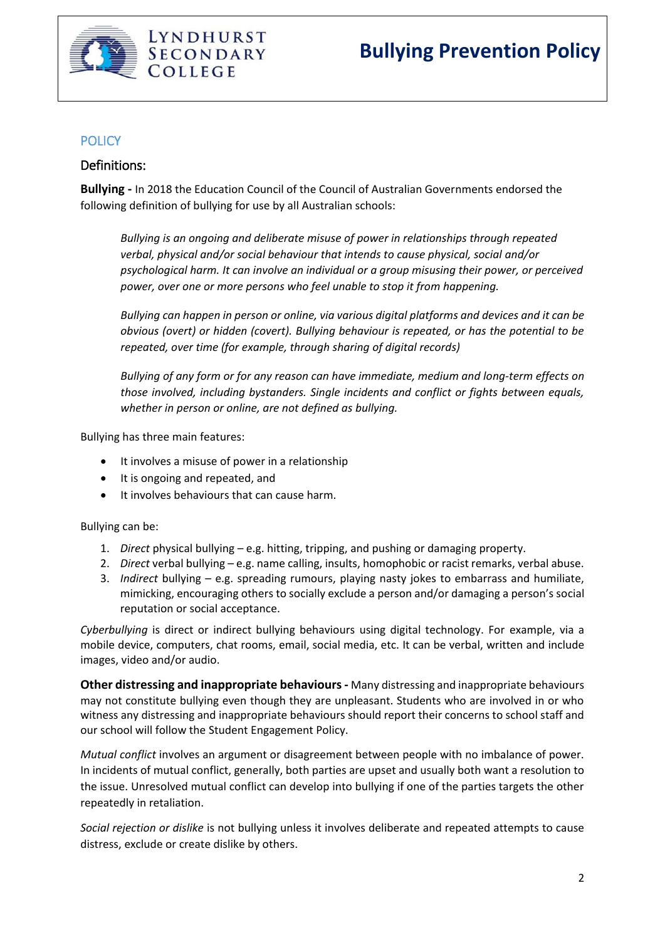

# **POLICY**

# Definitions:

**Bullying -** In 2018 the Education Council of the Council of Australian Governments endorsed the following definition of bullying for use by all Australian schools:

*Bullying is an ongoing and deliberate misuse of power in relationships through repeated verbal, physical and/or social behaviour that intends to cause physical, social and/or psychological harm. It can involve an individual or a group misusing their power, or perceived power, over one or more persons who feel unable to stop it from happening.*

*Bullying can happen in person or online, via various digital platforms and devices and it can be obvious (overt) or hidden (covert). Bullying behaviour is repeated, or has the potential to be repeated, over time (for example, through sharing of digital records)*

*Bullying of any form or for any reason can have immediate, medium and long-term effects on those involved, including bystanders. Single incidents and conflict or fights between equals, whether in person or online, are not defined as bullying.*

Bullying has three main features:

- It involves a misuse of power in a relationship
- It is ongoing and repeated, and
- It involves behaviours that can cause harm.

Bullying can be:

- 1. *Direct* physical bullying e.g. hitting, tripping, and pushing or damaging property.
- 2. *Direct* verbal bullying e.g. name calling, insults, homophobic or racist remarks, verbal abuse.
- 3. *Indirect* bullying e.g. spreading rumours, playing nasty jokes to embarrass and humiliate, mimicking, encouraging others to socially exclude a person and/or damaging a person's social reputation or social acceptance.

*Cyberbullying* is direct or indirect bullying behaviours using digital technology. For example, via a mobile device, computers, chat rooms, email, social media, etc. It can be verbal, written and include images, video and/or audio.

**Other distressing and inappropriate behaviours-** Many distressing and inappropriate behaviours may not constitute bullying even though they are unpleasant. Students who are involved in or who witness any distressing and inappropriate behaviours should report their concerns to school staff and our school will follow the Student Engagement Policy.

*Mutual conflict* involves an argument or disagreement between people with no imbalance of power. In incidents of mutual conflict, generally, both parties are upset and usually both want a resolution to the issue. Unresolved mutual conflict can develop into bullying if one of the parties targets the other repeatedly in retaliation.

*Social rejection or dislike* is not bullying unless it involves deliberate and repeated attempts to cause distress, exclude or create dislike by others.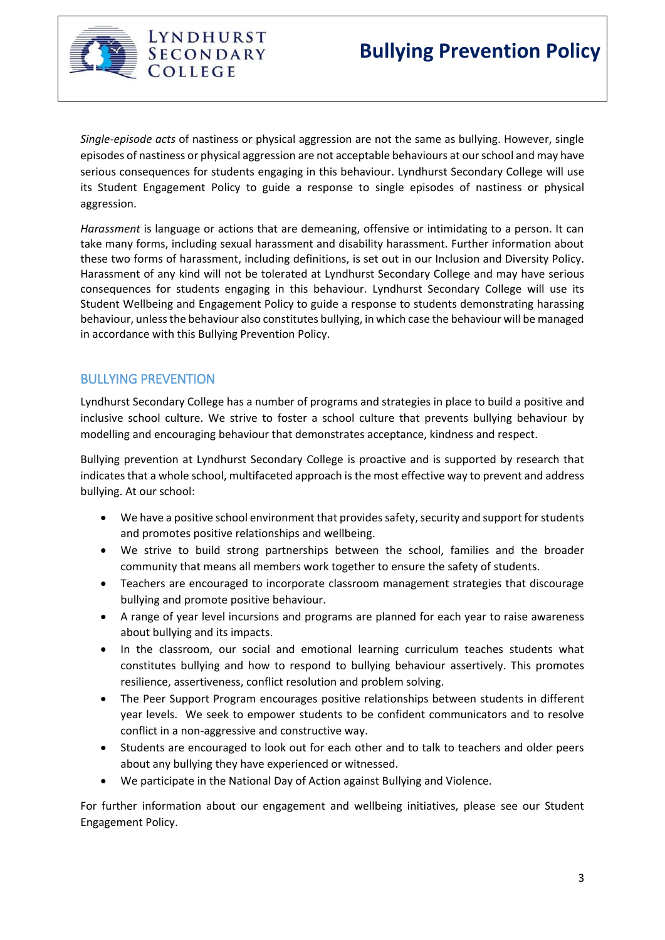

LYNDHURST SECONDARY COLLEGE

*Single-episode acts* of nastiness or physical aggression are not the same as bullying. However, single episodes of nastiness or physical aggression are not acceptable behaviours at our school and may have serious consequences for students engaging in this behaviour. Lyndhurst Secondary College will use its Student Engagement Policy to guide a response to single episodes of nastiness or physical aggression.

*Harassment* is language or actions that are demeaning, offensive or intimidating to a person. It can take many forms, including sexual harassment and disability harassment. Further information about these two forms of harassment, including definitions, is set out in our Inclusion and Diversity Policy. Harassment of any kind will not be tolerated at Lyndhurst Secondary College and may have serious consequences for students engaging in this behaviour. Lyndhurst Secondary College will use its Student Wellbeing and Engagement Policy to guide a response to students demonstrating harassing behaviour, unless the behaviour also constitutes bullying, in which case the behaviour will be managed in accordance with this Bullying Prevention Policy.

# BULLYING PREVENTION

Lyndhurst Secondary College has a number of programs and strategies in place to build a positive and inclusive school culture. We strive to foster a school culture that prevents bullying behaviour by modelling and encouraging behaviour that demonstrates acceptance, kindness and respect.

Bullying prevention at Lyndhurst Secondary College is proactive and is supported by research that indicates that a whole school, multifaceted approach is the most effective way to prevent and address bullying. At our school:

- We have a positive school environment that provides safety, security and support for students and promotes positive relationships and wellbeing.
- We strive to build strong partnerships between the school, families and the broader community that means all members work together to ensure the safety of students.
- Teachers are encouraged to incorporate classroom management strategies that discourage bullying and promote positive behaviour.
- A range of year level incursions and programs are planned for each year to raise awareness about bullying and its impacts.
- In the classroom, our social and emotional learning curriculum teaches students what constitutes bullying and how to respond to bullying behaviour assertively. This promotes resilience, assertiveness, conflict resolution and problem solving.
- The Peer Support Program encourages positive relationships between students in different year levels. We seek to empower students to be confident communicators and to resolve conflict in a non-aggressive and constructive way.
- Students are encouraged to look out for each other and to talk to teachers and older peers about any bullying they have experienced or witnessed.
- We participate in the National Day of Action against Bullying and Violence.

For further information about our engagement and wellbeing initiatives, please see our Student Engagement Policy.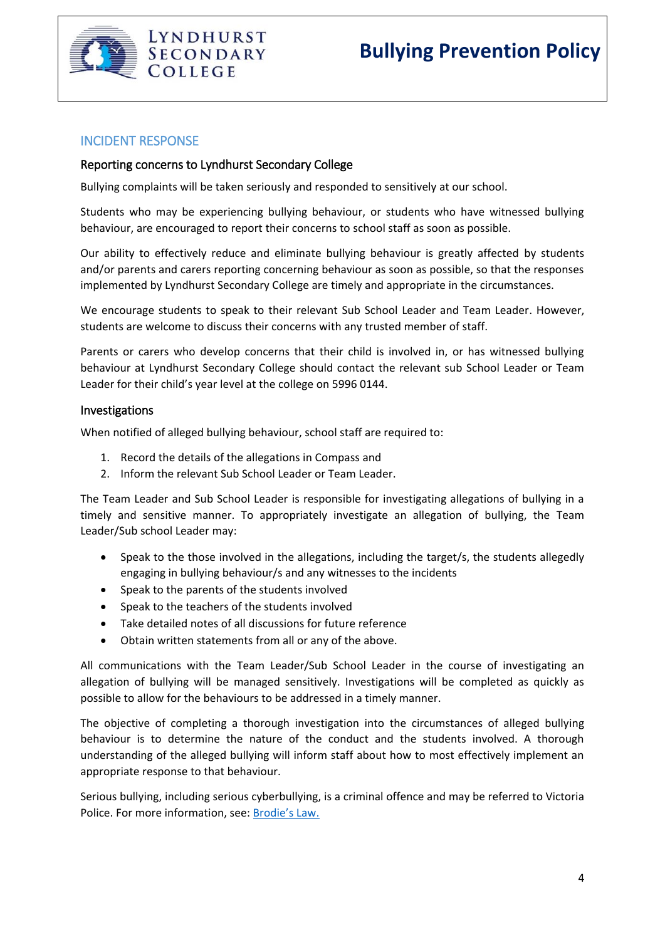

#### INCIDENT RESPONSE

#### Reporting concerns to Lyndhurst Secondary College

Bullying complaints will be taken seriously and responded to sensitively at our school.

Students who may be experiencing bullying behaviour, or students who have witnessed bullying behaviour, are encouraged to report their concerns to school staff as soon as possible.

Our ability to effectively reduce and eliminate bullying behaviour is greatly affected by students and/or parents and carers reporting concerning behaviour as soon as possible, so that the responses implemented by Lyndhurst Secondary College are timely and appropriate in the circumstances.

We encourage students to speak to their relevant Sub School Leader and Team Leader. However, students are welcome to discuss their concerns with any trusted member of staff.

Parents or carers who develop concerns that their child is involved in, or has witnessed bullying behaviour at Lyndhurst Secondary College should contact the relevant sub School Leader or Team Leader for their child's year level at the college on 5996 0144.

#### Investigations

When notified of alleged bullying behaviour, school staff are required to:

- 1. Record the details of the allegations in Compass and
- 2. Inform the relevant Sub School Leader or Team Leader.

The Team Leader and Sub School Leader is responsible for investigating allegations of bullying in a timely and sensitive manner. To appropriately investigate an allegation of bullying, the Team Leader/Sub school Leader may:

- Speak to the those involved in the allegations, including the target/s, the students allegedly engaging in bullying behaviour/s and any witnesses to the incidents
- Speak to the parents of the students involved
- Speak to the teachers of the students involved
- Take detailed notes of all discussions for future reference
- Obtain written statements from all or any of the above.

All communications with the Team Leader/Sub School Leader in the course of investigating an allegation of bullying will be managed sensitively. Investigations will be completed as quickly as possible to allow for the behaviours to be addressed in a timely manner.

The objective of completing a thorough investigation into the circumstances of alleged bullying behaviour is to determine the nature of the conduct and the students involved. A thorough understanding of the alleged bullying will inform staff about how to most effectively implement an appropriate response to that behaviour.

Serious bullying, including serious cyberbullying, is a criminal offence and may be referred to Victoria Police. For more information, see: [Brodie's Law.](http://www.education.vic.gov.au/about/programs/bullystoppers/Pages/advicesheetbrodieslaw.aspx)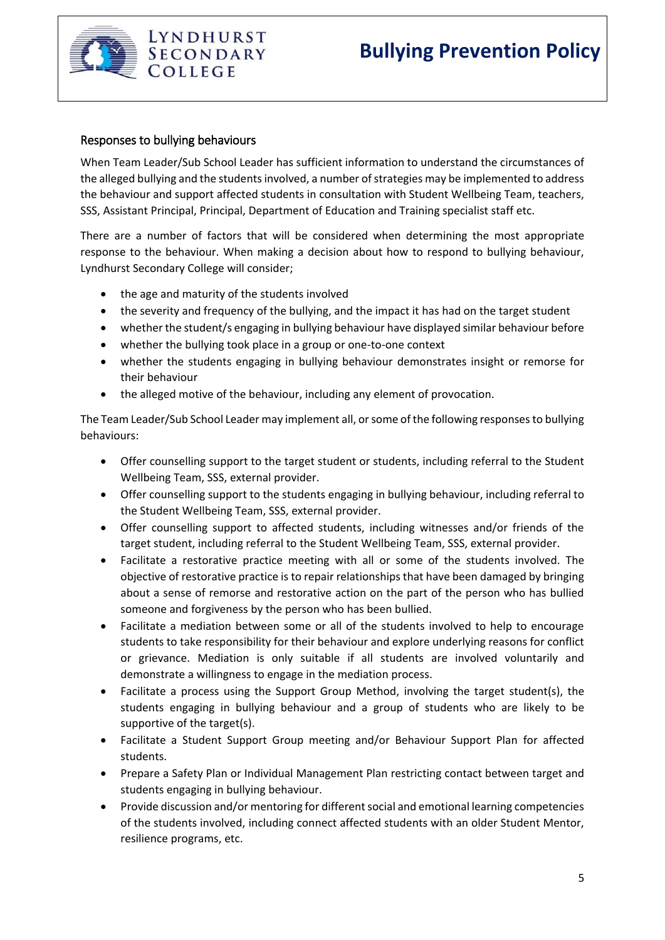

#### Responses to bullying behaviours

When Team Leader/Sub School Leader has sufficient information to understand the circumstances of the alleged bullying and the students involved, a number of strategies may be implemented to address the behaviour and support affected students in consultation with Student Wellbeing Team, teachers, SSS, Assistant Principal, Principal, Department of Education and Training specialist staff etc.

There are a number of factors that will be considered when determining the most appropriate response to the behaviour. When making a decision about how to respond to bullying behaviour, Lyndhurst Secondary College will consider;

- the age and maturity of the students involved
- the severity and frequency of the bullying, and the impact it has had on the target student
- whether the student/s engaging in bullying behaviour have displayed similar behaviour before
- whether the bullying took place in a group or one-to-one context
- whether the students engaging in bullying behaviour demonstrates insight or remorse for their behaviour
- the alleged motive of the behaviour, including any element of provocation.

The Team Leader/Sub School Leader may implement all, or some of the following responses to bullying behaviours:

- Offer counselling support to the target student or students, including referral to the Student Wellbeing Team, SSS, external provider.
- Offer counselling support to the students engaging in bullying behaviour, including referral to the Student Wellbeing Team, SSS, external provider.
- Offer counselling support to affected students, including witnesses and/or friends of the target student, including referral to the Student Wellbeing Team, SSS, external provider.
- Facilitate a restorative practice meeting with all or some of the students involved. The objective of restorative practice is to repair relationships that have been damaged by bringing about a sense of remorse and restorative action on the part of the person who has bullied someone and forgiveness by the person who has been bullied.
- Facilitate a mediation between some or all of the students involved to help to encourage students to take responsibility for their behaviour and explore underlying reasons for conflict or grievance. Mediation is only suitable if all students are involved voluntarily and demonstrate a willingness to engage in the mediation process.
- Facilitate a process using the Support Group Method, involving the target student(s), the students engaging in bullying behaviour and a group of students who are likely to be supportive of the target(s).
- Facilitate a Student Support Group meeting and/or Behaviour Support Plan for affected students.
- Prepare a Safety Plan or Individual Management Plan restricting contact between target and students engaging in bullying behaviour.
- Provide discussion and/or mentoring for different social and emotional learning competencies of the students involved, including connect affected students with an older Student Mentor, resilience programs, etc.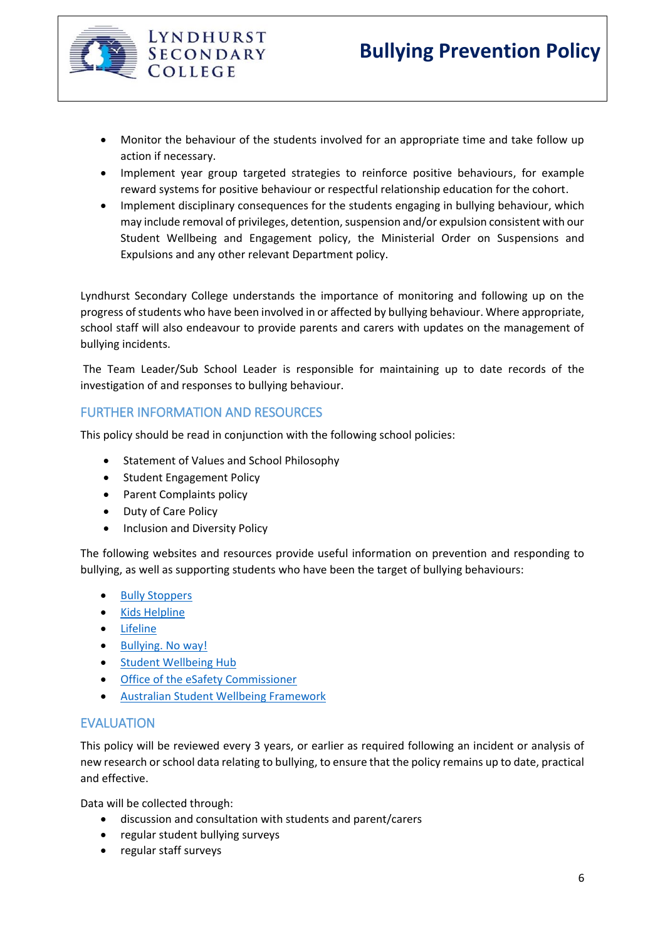

- Monitor the behaviour of the students involved for an appropriate time and take follow up action if necessary.
- Implement year group targeted strategies to reinforce positive behaviours, for example reward systems for positive behaviour or respectful relationship education for the cohort.
- Implement disciplinary consequences for the students engaging in bullying behaviour, which may include removal of privileges, detention, suspension and/or expulsion consistent with our Student Wellbeing and Engagement policy, the Ministerial Order on Suspensions and Expulsions and any other relevant Department policy.

Lyndhurst Secondary College understands the importance of monitoring and following up on the progress of students who have been involved in or affected by bullying behaviour. Where appropriate, school staff will also endeavour to provide parents and carers with updates on the management of bullying incidents.

The Team Leader/Sub School Leader is responsible for maintaining up to date records of the investigation of and responses to bullying behaviour.

# FURTHER INFORMATION AND RESOURCES

LYNDHURST **SECONDARY** COLLEGE

This policy should be read in conjunction with the following school policies:

- Statement of Values and School Philosophy
- Student Engagement Policy
- Parent Complaints policy
- Duty of Care Policy
- Inclusion and Diversity Policy

The following websites and resources provide useful information on prevention and responding to bullying, as well as supporting students who have been the target of bullying behaviours:

- [Bully Stoppers](https://bullyingnoway.gov.au/PreventingBullying/Planning/Pages/School-policy.aspx)
- Kids [Helpline](https://kidshelpline.com.au/)
- [Lifeline](https://www.lifeline.org.au/)
- [Bullying. No way!](https://bullyingnoway.gov.au/PreventingBullying/Planning/Pages/School-policy.aspx)
- [Student Wellbeing Hub](https://www.studentwellbeinghub.edu.au/)
- **•** Office of the eSafety Commissioner
- [Australian Student Wellbeing Framework](https://www.studentwellbeinghub.edu.au/resources/detail?id=dd6b5222-d5c5-6d32-997d-ff0000a69c30#/)

### EVALUATION

This policy will be reviewed every 3 years, or earlier as required following an incident or analysis of new research or school data relating to bullying, to ensure that the policy remains up to date, practical and effective.

Data will be collected through:

- discussion and consultation with students and parent/carers
- regular student bullying surveys
- regular staff surveys